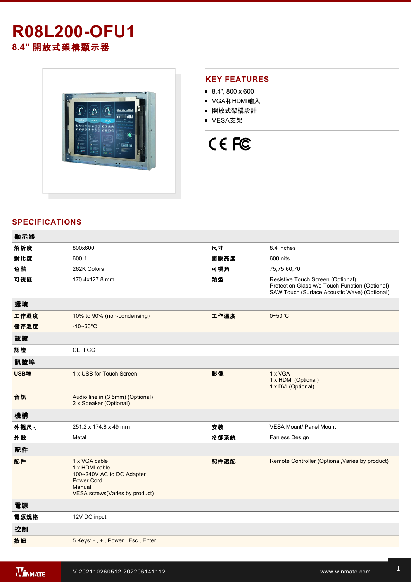# **R08L200-OFU1 8.4"** 開放式架構顯示器



## **KEY FEATURES**

- $8.4$ ", 800 x 600
- VGA和HDMI輸入
- 開放式架構設計
- VESA支架



## **SPECIFICATIONS**

| 顯示器  |                                                                                                                               |      |                                                                                                                                     |
|------|-------------------------------------------------------------------------------------------------------------------------------|------|-------------------------------------------------------------------------------------------------------------------------------------|
| 解析度  | 800x600                                                                                                                       | 尺寸   | 8.4 inches                                                                                                                          |
| 對比度  | 600:1                                                                                                                         | 面版亮度 | 600 nits                                                                                                                            |
| 色階   | 262K Colors                                                                                                                   | 可視角  | 75,75,60,70                                                                                                                         |
| 可視區  | 170.4x127.8 mm                                                                                                                | 類型   | Resistive Touch Screen (Optional)<br>Protection Glass w/o Touch Function (Optional)<br>SAW Touch (Surface Acoustic Wave) (Optional) |
| 環境   |                                                                                                                               |      |                                                                                                                                     |
| 工作濕度 | 10% to 90% (non-condensing)                                                                                                   | 工作溫度 | $0 - 50$ °C                                                                                                                         |
| 儲存溫度 | $-10 - 60^{\circ}C$                                                                                                           |      |                                                                                                                                     |
| 認證   |                                                                                                                               |      |                                                                                                                                     |
| 認證   | CE, FCC                                                                                                                       |      |                                                                                                                                     |
| 訊號埠  |                                                                                                                               |      |                                                                                                                                     |
| USB埠 | 1 x USB for Touch Screen                                                                                                      | 影像   | 1 x VGA<br>1 x HDMI (Optional)<br>1 x DVI (Optional)                                                                                |
| 音訊   | Audio line in (3.5mm) (Optional)<br>2 x Speaker (Optional)                                                                    |      |                                                                                                                                     |
| 機構   |                                                                                                                               |      |                                                                                                                                     |
| 外觀尺寸 | 251.2 x 174.8 x 49 mm                                                                                                         | 安裝   | <b>VESA Mount/ Panel Mount</b>                                                                                                      |
| 外殼   | Metal                                                                                                                         | 冷卻系統 | <b>Fanless Design</b>                                                                                                               |
| 配件   |                                                                                                                               |      |                                                                                                                                     |
| 配件   | 1 x VGA cable<br>1 x HDMI cable<br>100~240V AC to DC Adapter<br><b>Power Cord</b><br>Manual<br>VESA screws(Varies by product) | 配件選配 | Remote Controller (Optional, Varies by product)                                                                                     |
| 電源   |                                                                                                                               |      |                                                                                                                                     |
| 電源規格 | 12V DC input                                                                                                                  |      |                                                                                                                                     |
| 控制   |                                                                                                                               |      |                                                                                                                                     |
| 按鈕   | 5 Keys: -, +, Power, Esc, Enter                                                                                               |      |                                                                                                                                     |